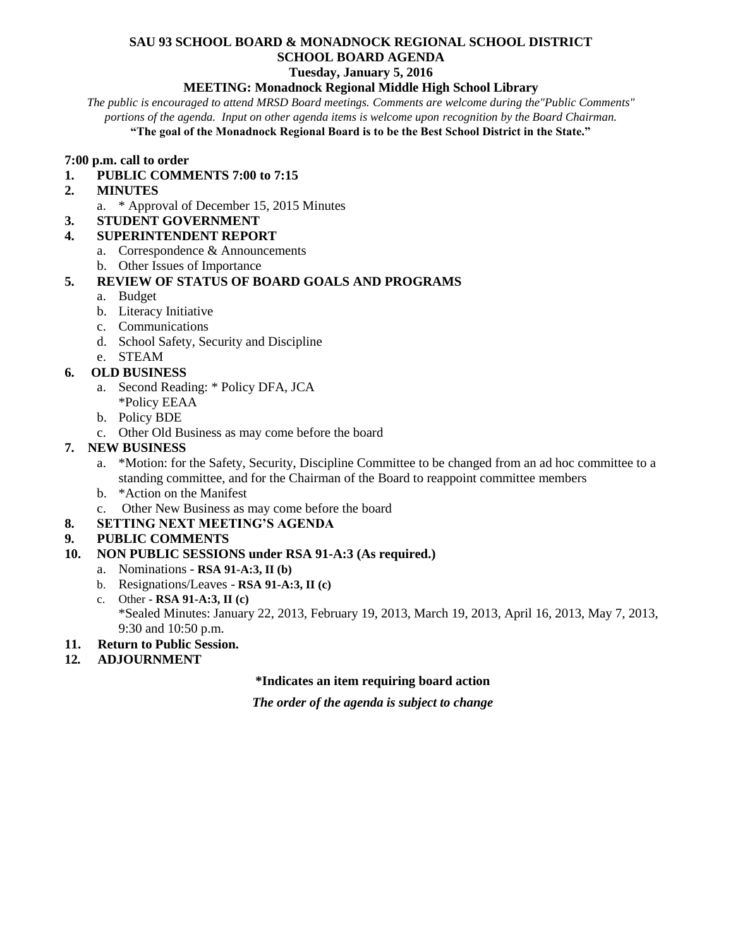# **SAU 93 SCHOOL BOARD & MONADNOCK REGIONAL SCHOOL DISTRICT SCHOOL BOARD AGENDA**

## **Tuesday, January 5, 2016**

#### **MEETING: Monadnock Regional Middle High School Library**

*The public is encouraged to attend MRSD Board meetings. Comments are welcome during the"Public Comments" portions of the agenda. Input on other agenda items is welcome upon recognition by the Board Chairman.* **"The goal of the Monadnock Regional Board is to be the Best School District in the State."**

#### **7:00 p.m. call to order**

- **1. PUBLIC COMMENTS 7:00 to 7:15**
- **2. MINUTES** 
	- a. \* Approval of December 15, 2015 Minutes

#### **3. STUDENT GOVERNMENT**

#### **4. SUPERINTENDENT REPORT**

- a. Correspondence & Announcements
- b. Other Issues of Importance

## **5. REVIEW OF STATUS OF BOARD GOALS AND PROGRAMS**

- a. Budget
- b. Literacy Initiative
- c. Communications
- d. School Safety, Security and Discipline
- e. STEAM

#### **6. OLD BUSINESS**

- a. Second Reading: \* Policy DFA, JCA \*Policy EEAA
- b. Policy BDE
- c. Other Old Business as may come before the board

# **7. NEW BUSINESS**

- a. \*Motion: for the Safety, Security, Discipline Committee to be changed from an ad hoc committee to a standing committee, and for the Chairman of the Board to reappoint committee members
- b. \*Action on the Manifest
- c. Other New Business as may come before the board
- **8. SETTING NEXT MEETING'S AGENDA**

## **9. PUBLIC COMMENTS**

## **10. NON PUBLIC SESSIONS under RSA 91-A:3 (As required.)**

- a. Nominations **RSA 91-A:3, II (b)**
- b. Resignations/Leaves **RSA 91-A:3, II (c)**
- c. Other **- RSA 91-A:3, II (c)** \*Sealed Minutes: January 22, 2013, February 19, 2013, March 19, 2013, April 16, 2013, May 7, 2013, 9:30 and 10:50 p.m.
- **11. Return to Public Session.**
- **12***.* **ADJOURNMENT**

#### **\*Indicates an item requiring board action**

*The order of the agenda is subject to change*